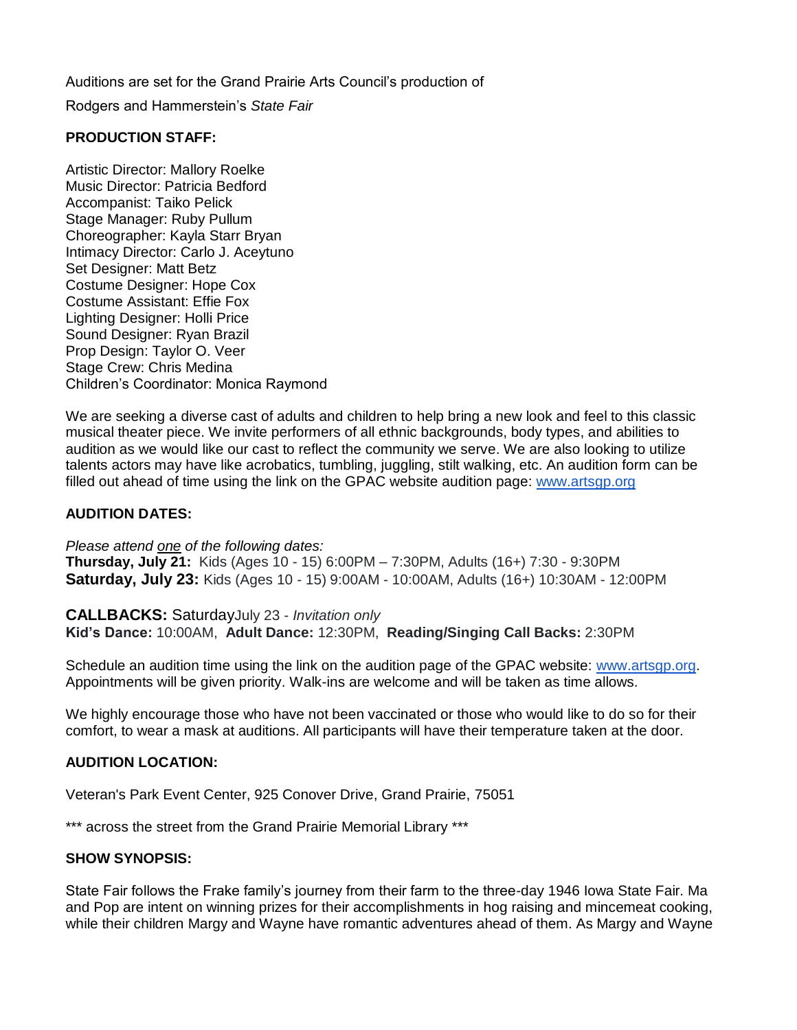Auditions are set for the Grand Prairie Arts Council's production of Rodgers and Hammerstein's *State Fair*

## **PRODUCTION STAFF:**

Artistic Director: Mallory Roelke Music Director: Patricia Bedford Accompanist: Taiko Pelick Stage Manager: Ruby Pullum Choreographer: Kayla Starr Bryan Intimacy Director: Carlo J. Aceytuno Set Designer: Matt Betz Costume Designer: Hope Cox Costume Assistant: Effie Fox Lighting Designer: Holli Price Sound Designer: Ryan Brazil Prop Design: Taylor O. Veer Stage Crew: Chris Medina Children's Coordinator: Monica Raymond

We are seeking a diverse cast of adults and children to help bring a new look and feel to this classic musical theater piece. We invite performers of all ethnic backgrounds, body types, and abilities to audition as we would like our cast to reflect the community we serve. We are also looking to utilize talents actors may have like acrobatics, tumbling, juggling, stilt walking, etc. An audition form can be filled out ahead of time using the link on the GPAC website audition page: [www.artsgp.org](http://www.artsgp.org/)

## **AUDITION DATES:**

*Please attend one of the following dates:* **Thursday, July 21:** Kids (Ages 10 - 15) 6:00PM – 7:30PM, Adults (16+) 7:30 - 9:30PM

**Saturday, July 23:** Kids (Ages 10 - 15) 9:00AM - 10:00AM, Adults (16+) 10:30AM - 12:00PM

**CALLBACKS:** SaturdayJuly 23 - *Invitation only* **Kid's Dance:** 10:00AM, **Adult Dance:** 12:30PM, **Reading/Singing Call Backs:** 2:30PM

Schedule an audition time using the link on the audition page of the GPAC website: [www.artsgp.org.](http://www.artsgp.org/) Appointments will be given priority. Walk-ins are welcome and will be taken as time allows.

We highly encourage those who have not been vaccinated or those who would like to do so for their comfort, to wear a mask at auditions. All participants will have their temperature taken at the door.

## **AUDITION LOCATION:**

Veteran's Park Event Center, 925 Conover Drive, Grand Prairie, 75051

\*\*\* across the street from the Grand Prairie Memorial Library \*\*\*

## **SHOW SYNOPSIS:**

State Fair follows the Frake family's journey from their farm to the three-day 1946 Iowa State Fair. Ma and Pop are intent on winning prizes for their accomplishments in hog raising and mincemeat cooking, while their children Margy and Wayne have romantic adventures ahead of them. As Margy and Wayne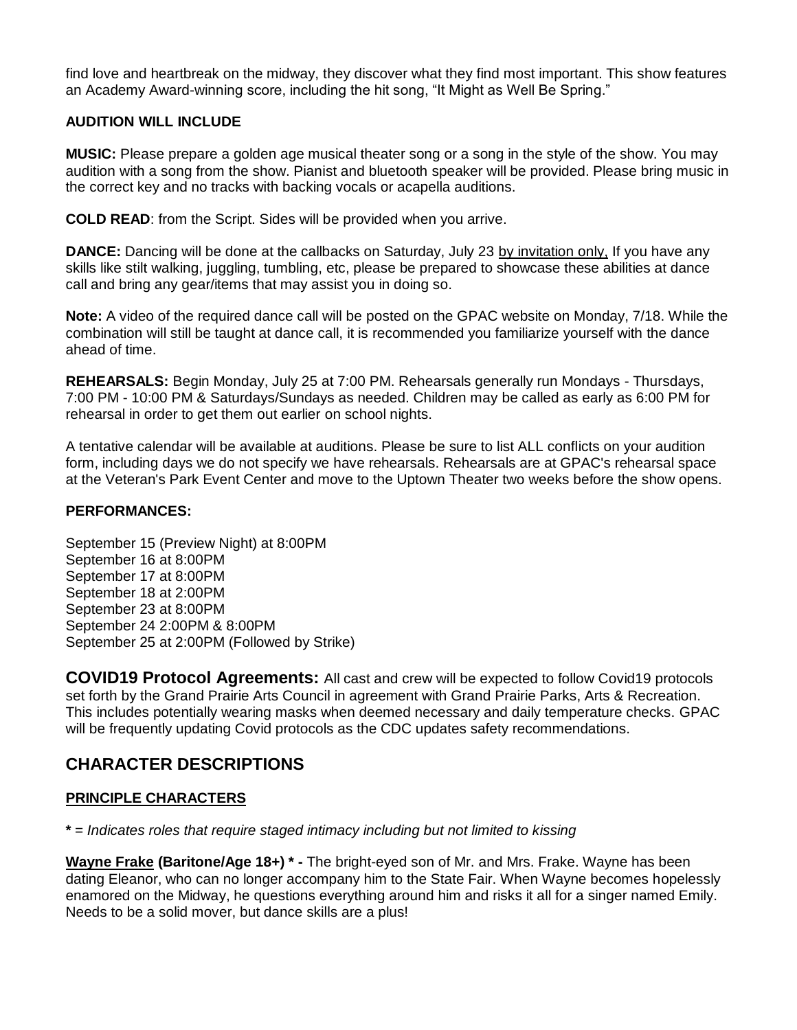find love and heartbreak on the midway, they discover what they find most important. This show features an Academy Award-winning score, including the hit song, "It Might as Well Be Spring."

## **AUDITION WILL INCLUDE**

**MUSIC:** Please prepare a golden age musical theater song or a song in the style of the show. You may audition with a song from the show. Pianist and bluetooth speaker will be provided. Please bring music in the correct key and no tracks with backing vocals or acapella auditions.

**COLD READ**: from the Script. Sides will be provided when you arrive.

**DANCE:** Dancing will be done at the callbacks on Saturday, July 23 by invitation only, If you have any skills like stilt walking, juggling, tumbling, etc, please be prepared to showcase these abilities at dance call and bring any gear/items that may assist you in doing so.

**Note:** A video of the required dance call will be posted on the GPAC website on Monday, 7/18. While the combination will still be taught at dance call, it is recommended you familiarize yourself with the dance ahead of time.

**REHEARSALS:** Begin Monday, July 25 at 7:00 PM. Rehearsals generally run Mondays - Thursdays, 7:00 PM - 10:00 PM & Saturdays/Sundays as needed. Children may be called as early as 6:00 PM for rehearsal in order to get them out earlier on school nights.

A tentative calendar will be available at auditions. Please be sure to list ALL conflicts on your audition form, including days we do not specify we have rehearsals. Rehearsals are at GPAC's rehearsal space at the Veteran's Park Event Center and move to the Uptown Theater two weeks before the show opens.

## **PERFORMANCES:**

September 15 (Preview Night) at 8:00PM September 16 at 8:00PM September 17 at 8:00PM September 18 at 2:00PM September 23 at 8:00PM September 24 2:00PM & 8:00PM September 25 at 2:00PM (Followed by Strike)

**COVID19 Protocol Agreements:** All cast and crew will be expected to follow Covid19 protocols set forth by the Grand Prairie Arts Council in agreement with Grand Prairie Parks, Arts & Recreation. This includes potentially wearing masks when deemed necessary and daily temperature checks. GPAC will be frequently updating Covid protocols as the CDC updates safety recommendations.

# **CHARACTER DESCRIPTIONS**

## **PRINCIPLE CHARACTERS**

**\*** = *Indicates roles that require staged intimacy including but not limited to kissing*

**[Wayne Frake](https://stageagent.com/characters/2941/state-fair/wayne-frake) (Baritone/Age 18+) \* -** The bright-eyed son of Mr. and Mrs. Frake. Wayne has been dating Eleanor, who can no longer accompany him to the State Fair. When Wayne becomes hopelessly enamored on the Midway, he questions everything around him and risks it all for a singer named Emily. Needs to be a solid mover, but dance skills are a plus!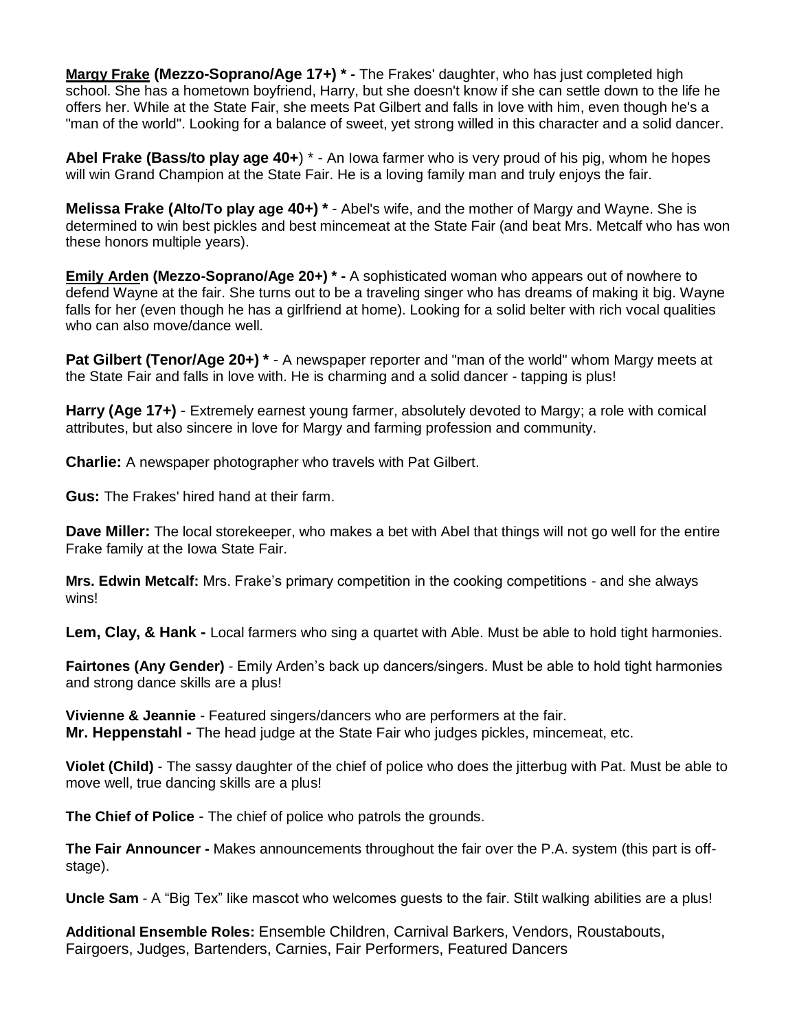**[Margy Frake](https://stageagent.com/characters/2939/state-fair/margy-frake) (Mezzo-Soprano/Age 17+) \* -** The Frakes' daughter, who has just completed high school. She has a hometown boyfriend, Harry, but she doesn't know if she can settle down to the life he offers her. While at the State Fair, she meets Pat Gilbert and falls in love with him, even though he's a "man of the world". Looking for a balance of sweet, yet strong willed in this character and a solid dancer.

**Abel Frake (Bass/to play age 40+**) \* - An Iowa farmer who is very proud of his pig, whom he hopes will win Grand Champion at the State Fair. He is a loving family man and truly enjoys the fair.

**Melissa Frake (Alto/To play age 40+) \*** - Abel's wife, and the mother of Margy and Wayne. She is determined to win best pickles and best mincemeat at the State Fair (and beat Mrs. Metcalf who has won these honors multiple years).

**[Emily Arden](https://stageagent.com/characters/2946/state-fair/emily-arden) (Mezzo-Soprano/Age 20+) \* -** A sophisticated woman who appears out of nowhere to defend Wayne at the fair. She turns out to be a traveling singer who has dreams of making it big. Wayne falls for her (even though he has a girlfriend at home). Looking for a solid belter with rich vocal qualities who can also move/dance well.

**Pat Gilbert (Tenor/Age 20+) \*** - A newspaper reporter and "man of the world" whom Margy meets at the State Fair and falls in love with. He is charming and a solid dancer - tapping is plus!

**Harry (Age 17+)** - Extremely earnest young farmer, absolutely devoted to Margy; a role with comical attributes, but also sincere in love for Margy and farming profession and community.

**Charlie:** A newspaper photographer who travels with Pat Gilbert.

**Gus:** The Frakes' hired hand at their farm.

**Dave Miller:** The local storekeeper, who makes a bet with Abel that things will not go well for the entire Frake family at the Iowa State Fair.

**Mrs. Edwin Metcalf:** Mrs. Frake's primary competition in the cooking competitions - and she always wins!

**Lem, Clay, & Hank -** Local farmers who sing a quartet with Able. Must be able to hold tight harmonies.

**Fairtones (Any Gender)** - Emily Arden's back up dancers/singers. Must be able to hold tight harmonies and strong dance skills are a plus!

**Vivienne & Jeannie** - Featured singers/dancers who are performers at the fair. **Mr. Heppenstahl -** The head judge at the State Fair who judges pickles, mincemeat, etc.

**Violet (Child)** - The sassy daughter of the chief of police who does the jitterbug with Pat. Must be able to move well, true dancing skills are a plus!

**The Chief of Police** - The chief of police who patrols the grounds.

**The Fair Announcer -** Makes announcements throughout the fair over the P.A. system (this part is offstage).

**Uncle Sam** - A "Big Tex" like mascot who welcomes guests to the fair. Stilt walking abilities are a plus!

**Additional Ensemble Roles:** Ensemble Children, Carnival Barkers, Vendors, Roustabouts, Fairgoers, Judges, Bartenders, Carnies, Fair Performers, Featured Dancers